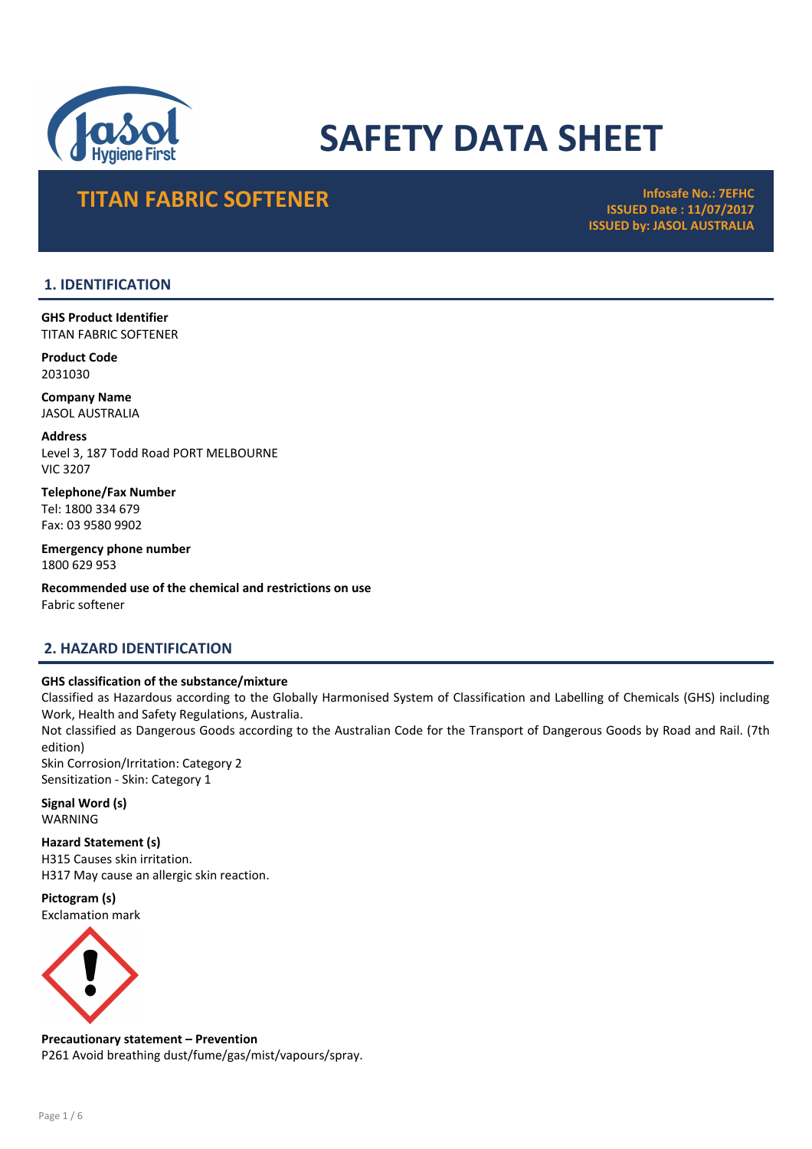

# SAFETY DATA SHEET

# TITAN FABRIC SOFTENER INFOSAFE NO.: 7EFHC

ISSUED Date : 11/07/2017 ISSUED by: JASOL AUSTRALIA

### 1. IDENTIFICATION

GHS Product Identifier TITAN FABRIC SOFTENER

Product Code 2031030

Company Name JASOL AUSTRALIA

Address Level 3, 187 Todd Road PORT MELBOURNE VIC 3207

Telephone/Fax Number Tel: 1800 334 679 Fax: 03 9580 9902

Emergency phone number 1800 629 953

Recommended use of the chemical and restrictions on use Fabric softener

### 2. HAZARD IDENTIFICATION

### GHS classification of the substance/mixture

Classified as Hazardous according to the Globally Harmonised System of Classification and Labelling of Chemicals (GHS) including Work, Health and Safety Regulations, Australia.

Not classified as Dangerous Goods according to the Australian Code for the Transport of Dangerous Goods by Road and Rail. (7th edition)

Skin Corrosion/Irritation: Category 2 Sensitization - Skin: Category 1

Signal Word (s) WARNING

Hazard Statement (s) H315 Causes skin irritation. H317 May cause an allergic skin reaction.

Pictogram (s) Exclamation mark



Precautionary statement – Prevention P261 Avoid breathing dust/fume/gas/mist/vapours/spray.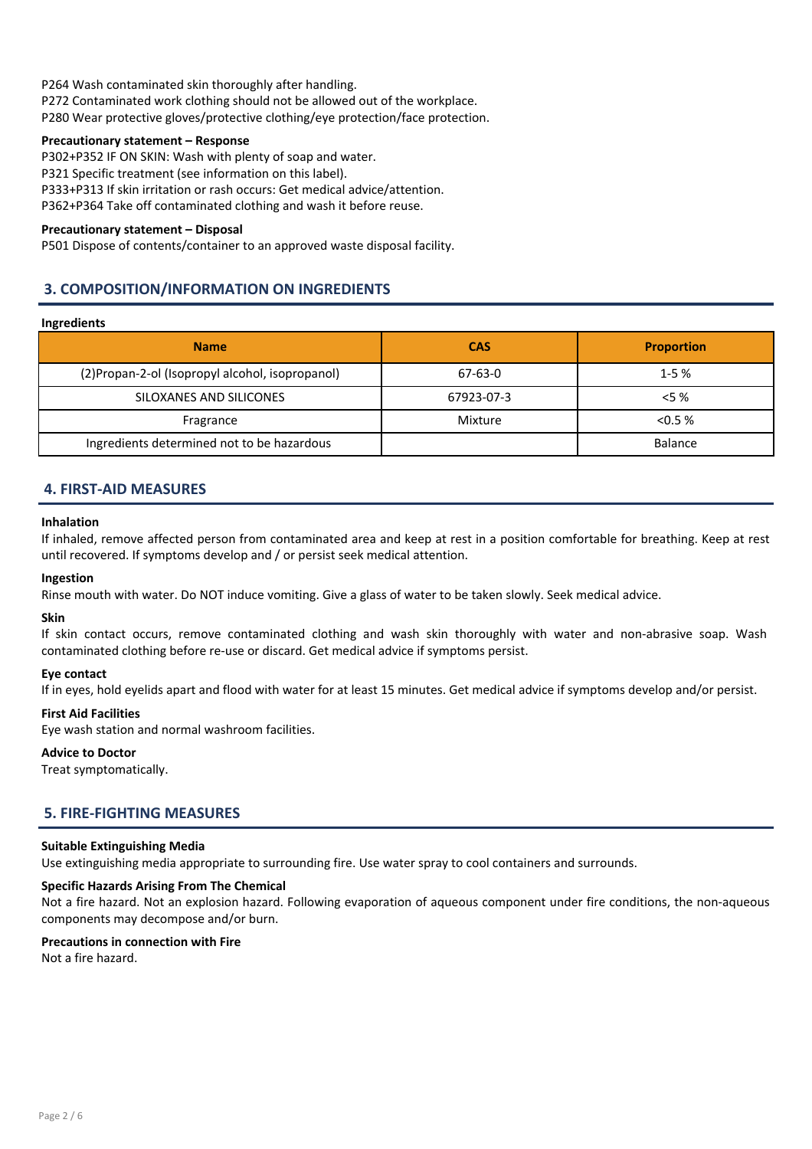P264 Wash contaminated skin thoroughly after handling. P272 Contaminated work clothing should not be allowed out of the workplace. P280 Wear protective gloves/protective clothing/eye protection/face protection.

### Precautionary statement – Response

P302+P352 IF ON SKIN: Wash with plenty of soap and water.

P321 Specific treatment (see information on this label).

P333+P313 If skin irritation or rash occurs: Get medical advice/attention.

P362+P364 Take off contaminated clothing and wash it before reuse.

### Precautionary statement – Disposal

P501 Dispose of contents/container to an approved waste disposal facility.

### 3. COMPOSITION/INFORMATION ON INGREDIENTS

### Ingredients

| <b>Name</b>                                      | <b>CAS</b> | <b>Proportion</b> |
|--------------------------------------------------|------------|-------------------|
| (2) Propan-2-ol (Isopropyl alcohol, isopropanol) | $67-63-0$  | $1 - 5%$          |
| SILOXANES AND SILICONES                          | 67923-07-3 | $< 5 \%$          |
| Fragrance                                        | Mixture    | < 0.5 %           |
| Ingredients determined not to be hazardous       |            | Balance           |

### 4. FIRST-AID MEASURES

#### Inhalation

If inhaled, remove affected person from contaminated area and keep at rest in a position comfortable for breathing. Keep at rest until recovered. If symptoms develop and / or persist seek medical attention.

### Ingestion

Rinse mouth with water. Do NOT induce vomiting. Give a glass of water to be taken slowly. Seek medical advice.

#### Skin

If skin contact occurs, remove contaminated clothing and wash skin thoroughly with water and non-abrasive soap. Wash contaminated clothing before re-use or discard. Get medical advice if symptoms persist.

### Eye contact

If in eyes, hold eyelids apart and flood with water for at least 15 minutes. Get medical advice if symptoms develop and/or persist.

### First Aid Facilities

Eye wash station and normal washroom facilities.

### Advice to Doctor

Treat symptomatically.

### 5. FIRE-FIGHTING MEASURES

#### Suitable Extinguishing Media

Use extinguishing media appropriate to surrounding fire. Use water spray to cool containers and surrounds.

#### Specific Hazards Arising From The Chemical

Not a fire hazard. Not an explosion hazard. Following evaporation of aqueous component under fire conditions, the non-aqueous components may decompose and/or burn.

### Precautions in connection with Fire

Not a fire hazard.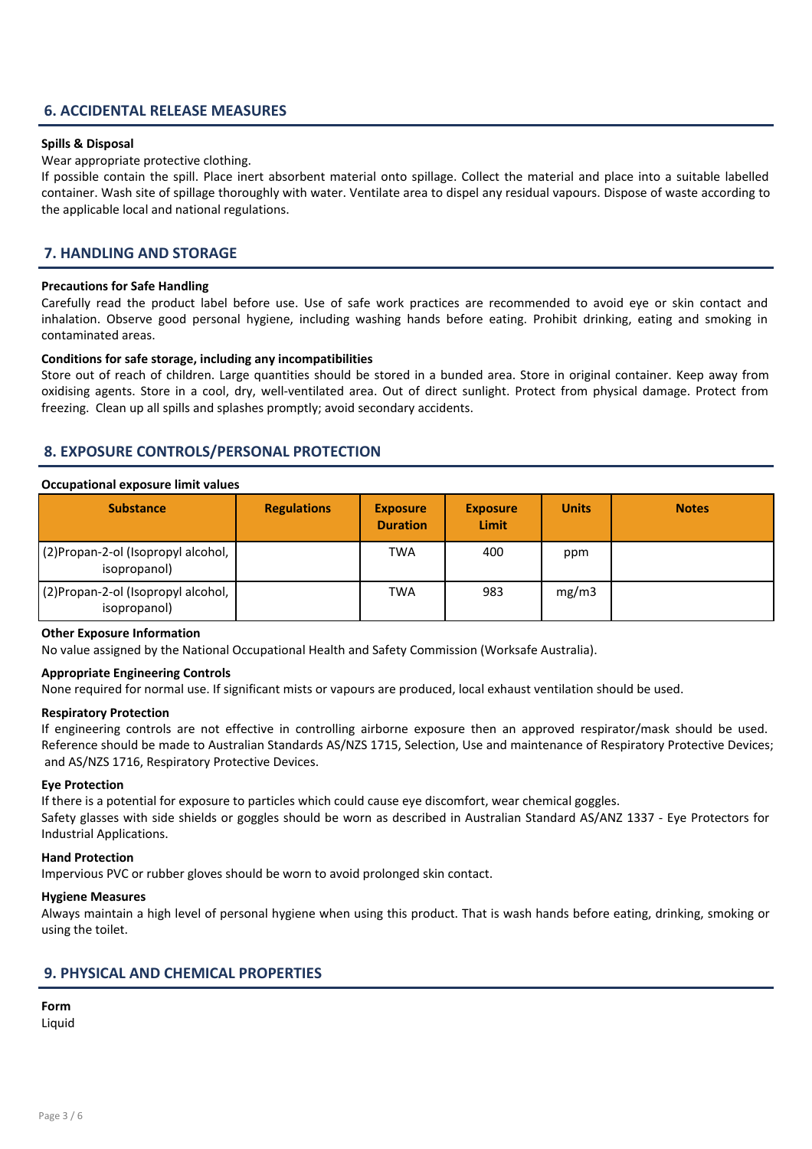### 6. ACCIDENTAL RELEASE MEASURES

#### Spills & Disposal

Wear appropriate protective clothing.

If possible contain the spill. Place inert absorbent material onto spillage. Collect the material and place into a suitable labelled container. Wash site of spillage thoroughly with water. Ventilate area to dispel any residual vapours. Dispose of waste according to the applicable local and national regulations.

### 7. HANDLING AND STORAGE

#### Precautions for Safe Handling

Carefully read the product label before use. Use of safe work practices are recommended to avoid eye or skin contact and inhalation. Observe good personal hygiene, including washing hands before eating. Prohibit drinking, eating and smoking in contaminated areas.

#### Conditions for safe storage, including any incompatibilities

Store out of reach of children. Large quantities should be stored in a bunded area. Store in original container. Keep away from oxidising agents. Store in a cool, dry, well-ventilated area. Out of direct sunlight. Protect from physical damage. Protect from freezing. Clean up all spills and splashes promptly; avoid secondary accidents.

### 8. EXPOSURE CONTROLS/PERSONAL PROTECTION

#### Occupational exposure limit values

| <b>Substance</b>                                    | <b>Regulations</b> | <b>Exposure</b><br><b>Duration</b> | <b>Exposure</b><br>Limit | <b>Units</b> | <b>Notes</b> |
|-----------------------------------------------------|--------------------|------------------------------------|--------------------------|--------------|--------------|
| (2) Propan-2-ol (Isopropyl alcohol,<br>isopropanol) |                    | <b>TWA</b>                         | 400                      | ppm          |              |
| (2) Propan-2-ol (Isopropyl alcohol,<br>isopropanol) |                    | <b>TWA</b>                         | 983                      | mg/m3        |              |

#### Other Exposure Information

No value assigned by the National Occupational Health and Safety Commission (Worksafe Australia).

### Appropriate Engineering Controls

None required for normal use. If significant mists or vapours are produced, local exhaust ventilation should be used.

#### Respiratory Protection

If engineering controls are not effective in controlling airborne exposure then an approved respirator/mask should be used. Reference should be made to Australian Standards AS/NZS 1715, Selection, Use and maintenance of Respiratory Protective Devices; and AS/NZS 1716, Respiratory Protective Devices.

#### Eye Protection

If there is a potential for exposure to particles which could cause eye discomfort, wear chemical goggles. Safety glasses with side shields or goggles should be worn as described in Australian Standard AS/ANZ 1337 - Eye Protectors for Industrial Applications.

#### Hand Protection

Impervious PVC or rubber gloves should be worn to avoid prolonged skin contact.

#### Hygiene Measures

Always maintain a high level of personal hygiene when using this product. That is wash hands before eating, drinking, smoking or using the toilet.

### 9. PHYSICAL AND CHEMICAL PROPERTIES

### Form

Liquid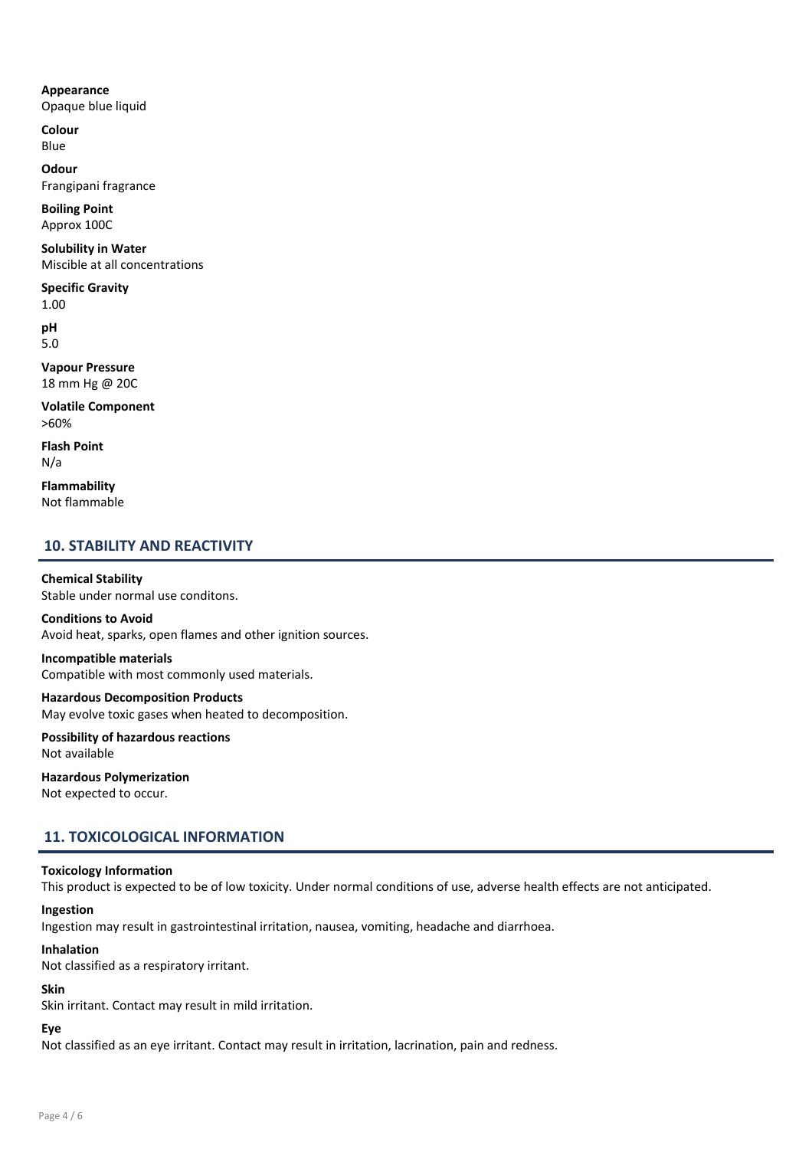### Appearance

Opaque blue liquid

Colour Blue

**Odour** Frangipani fragrance

Boiling Point Approx 100C

Solubility in Water Miscible at all concentrations

Specific Gravity 1.00

pH 5.0

Vapour Pressure 18 mm Hg @ 20C

Volatile Component >60%

Flash Point N/a

Flammability Not flammable

### 10. STABILITY AND REACTIVITY

Chemical Stability Stable under normal use conditons.

Conditions to Avoid Avoid heat, sparks, open flames and other ignition sources.

## Incompatible materials

Compatible with most commonly used materials.

### Hazardous Decomposition Products May evolve toxic gases when heated to decomposition.

Possibility of hazardous reactions Not available

### Hazardous Polymerization

Not expected to occur.

### 11. TOXICOLOGICAL INFORMATION

### Toxicology Information

This product is expected to be of low toxicity. Under normal conditions of use, adverse health effects are not anticipated.

### Ingestion

Ingestion may result in gastrointestinal irritation, nausea, vomiting, headache and diarrhoea.

### Inhalation

Not classified as a respiratory irritant.

### Skin

Skin irritant. Contact may result in mild irritation.

### Eye

Not classified as an eye irritant. Contact may result in irritation, lacrination, pain and redness.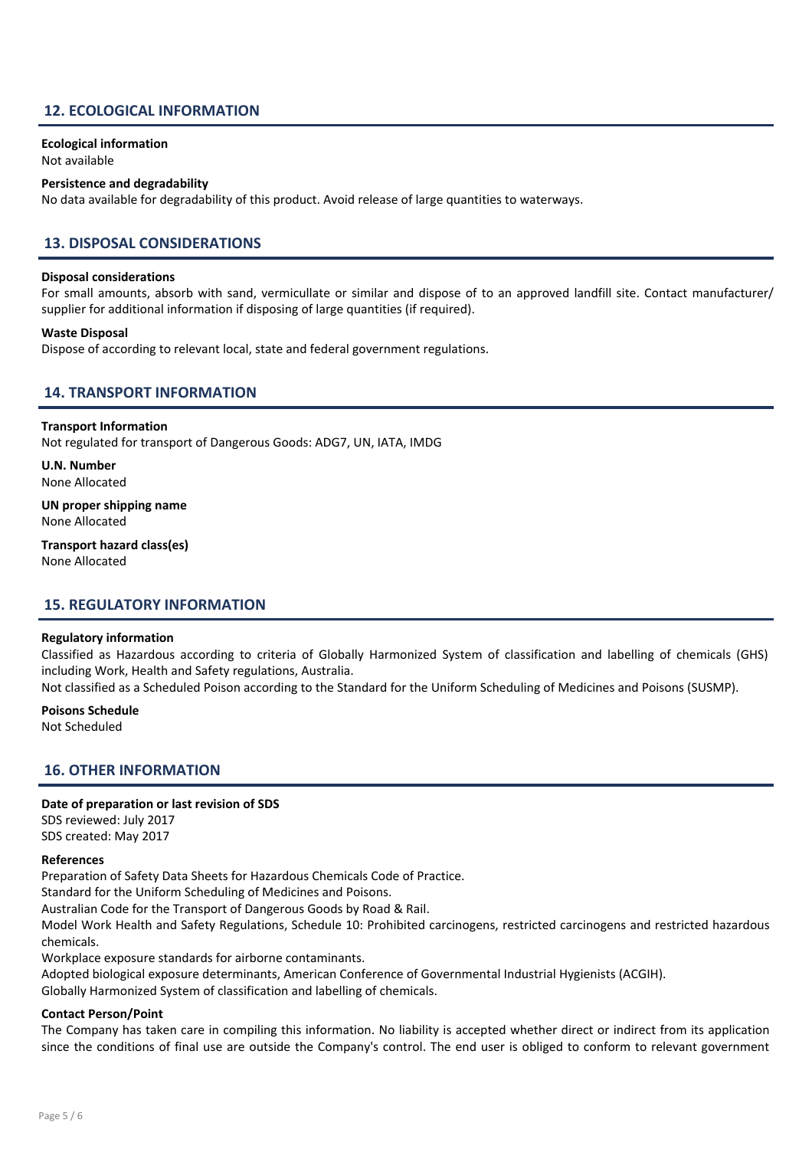### 12. ECOLOGICAL INFORMATION

Ecological information

### Not available

### Persistence and degradability

No data available for degradability of this product. Avoid release of large quantities to waterways.

### 13. DISPOSAL CONSIDERATIONS

#### Disposal considerations

For small amounts, absorb with sand, vermicullate or similar and dispose of to an approved landfill site. Contact manufacturer/ supplier for additional information if disposing of large quantities (if required).

#### Waste Disposal

Dispose of according to relevant local, state and federal government regulations.

### 14. TRANSPORT INFORMATION

#### Transport Information

Not regulated for transport of Dangerous Goods: ADG7, UN, IATA, IMDG

U.N. Number None Allocated

UN proper shipping name None Allocated

Transport hazard class(es) None Allocated

### 15. REGULATORY INFORMATION

#### Regulatory information

Classified as Hazardous according to criteria of Globally Harmonized System of classification and labelling of chemicals (GHS) including Work, Health and Safety regulations, Australia.

Not classified as a Scheduled Poison according to the Standard for the Uniform Scheduling of Medicines and Poisons (SUSMP).

#### Poisons Schedule

Not Scheduled

### 16. OTHER INFORMATION

### Date of preparation or last revision of SDS

SDS reviewed: July 2017 SDS created: May 2017

#### References

Preparation of Safety Data Sheets for Hazardous Chemicals Code of Practice.

Standard for the Uniform Scheduling of Medicines and Poisons.

Australian Code for the Transport of Dangerous Goods by Road & Rail.

Model Work Health and Safety Regulations, Schedule 10: Prohibited carcinogens, restricted carcinogens and restricted hazardous chemicals.

Workplace exposure standards for airborne contaminants.

Adopted biological exposure determinants, American Conference of Governmental Industrial Hygienists (ACGIH).

Globally Harmonized System of classification and labelling of chemicals.

### Contact Person/Point

The Company has taken care in compiling this information. No liability is accepted whether direct or indirect from its application since the conditions of final use are outside the Company's control. The end user is obliged to conform to relevant government